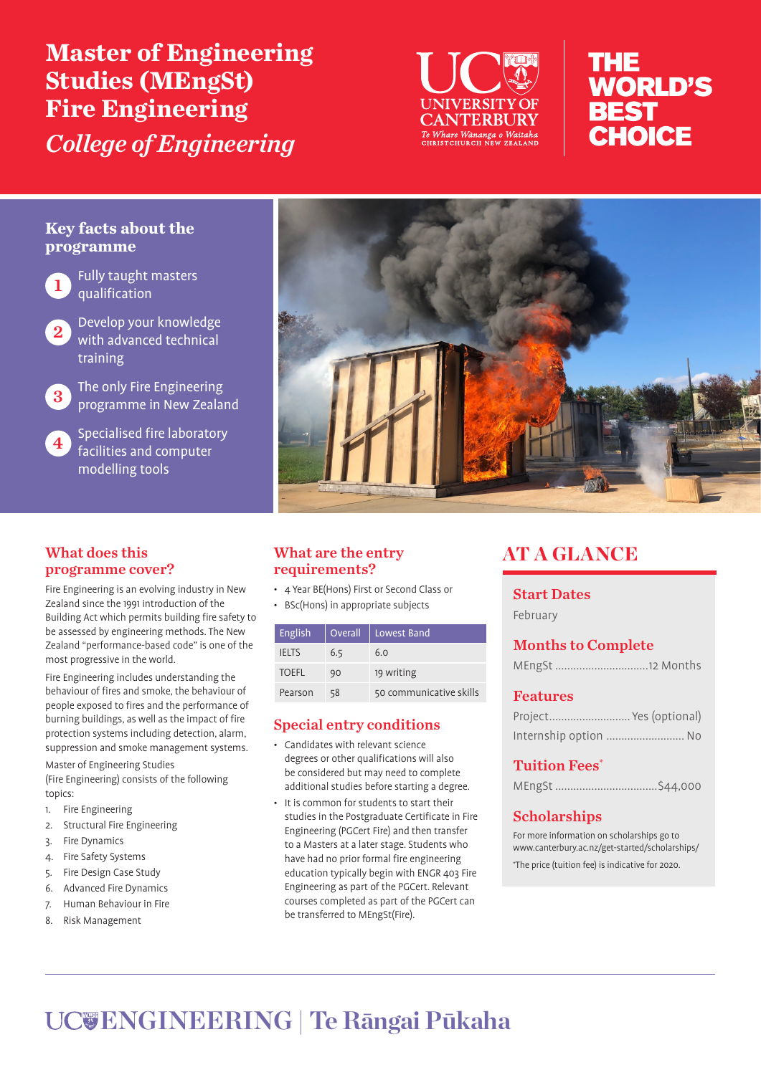**Master of Engineering Studies (MEngSt) Fire Engineering**  *College of Engineering*



# THE **WORLD'S BEST** CHOICE

# **Key facts about the programme**

Fully taught masters qualification



Develop your knowledge with advanced technical training

3 The only Fire Engineering programme in New Zealand

**4** Specialised fire laboratory facilities and computer modelling tools

# What does this programme cover?

Fire Engineering is an evolving industry in New Zealand since the 1991 introduction of the Building Act which permits building fire safety to be assessed by engineering methods. The New Zealand "performance-based code" is one of the most progressive in the world.

Fire Engineering includes understanding the behaviour of fires and smoke, the behaviour of people exposed to fires and the performance of burning buildings, as well as the impact of fire protection systems including detection, alarm, suppression and smoke management systems.

Master of Engineering Studies (Fire Engineering) consists of the following topics:

- 1. Fire Engineering
- 2. Structural Fire Engineering
- 3. Fire Dynamics
- 4. Fire Safety Systems
- 5. Fire Design Case Study
- 6. Advanced Fire Dynamics
- 7. Human Behaviour in Fire
- 8. Risk Management



# What are the entry requirements?

- 4 Year BE(Hons) First or Second Class or
- BSc(Hons) in appropriate subjects

| English      | Overall | Lowest Band             |
|--------------|---------|-------------------------|
| <b>IELTS</b> | 6.5     | 6.0                     |
| <b>TOEFL</b> | 90      | 19 writing              |
| Pearson      | 58      | 50 communicative skills |

# Special entry conditions

- Candidates with relevant science degrees or other qualifications will also be considered but may need to complete additional studies before starting a degree.
- It is common for students to start their studies in the Postgraduate Certificate in Fire Engineering (PGCert Fire) and then transfer to a Masters at a later stage. Students who have had no prior formal fire engineering education typically begin with ENGR 403 Fire Engineering as part of the PGCert. Relevant courses completed as part of the PGCert can be transferred to MEngSt(Fire).

# AT A GLANCE

# Start Dates

February

# Months to Complete

| MEngSt 12 Months |  |  |
|------------------|--|--|
|------------------|--|--|

# Features

| Project Yes (optional) |  |
|------------------------|--|
| Internship option  No  |  |

# Tuition Fees\*

|--|--|

# **Scholarships**

For more information on scholarships go to www.canterbury.ac.nz/get-started/scholarships/ \* The price (tuition fee) is indicative for 2020.

# **ENGINEERING | Te Rāngai Pūkaha**